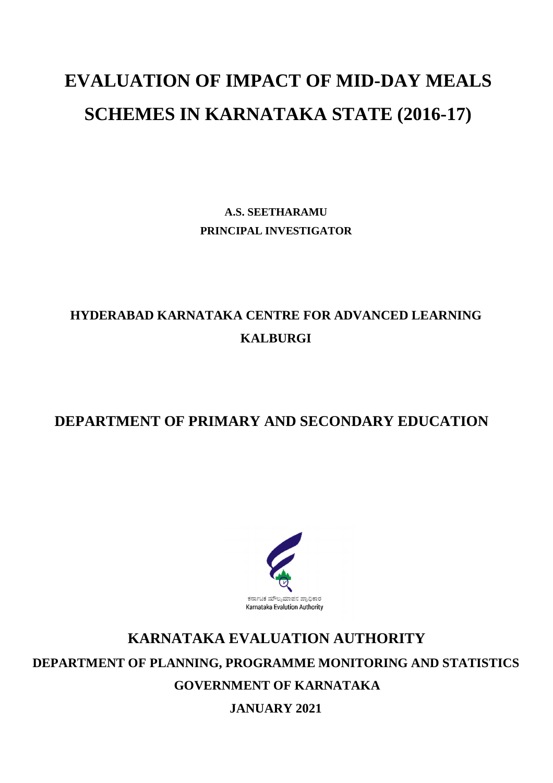# **EVALUATION OF IMPACT OF MID-DAY MEALS SCHEMES IN KARNATAKA STATE (2016-17)**

**A.S. SEETHARAMU PRINCIPAL INVESTIGATOR**

# **HYDERABAD KARNATAKA CENTRE FOR ADVANCED LEARNING KALBURGI**

## **DEPARTMENT OF PRIMARY AND SECONDARY EDUCATION**



# **KARNATAKA EVALUATION AUTHORITY DEPARTMENT OF PLANNING, PROGRAMME MONITORING AND STATISTICS GOVERNMENT OF KARNATAKA**

**JANUARY 2021**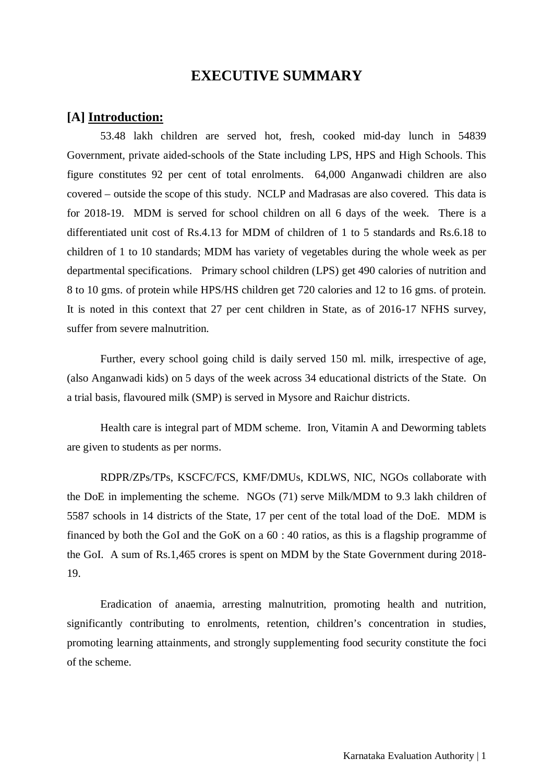## **EXECUTIVE SUMMARY**

### **[A] Introduction:**

53.48 lakh children are served hot, fresh, cooked mid-day lunch in 54839 Government, private aided-schools of the State including LPS, HPS and High Schools. This figure constitutes 92 per cent of total enrolments. 64,000 Anganwadi children are also covered – outside the scope of this study. NCLP and Madrasas are also covered. This data is for 2018-19. MDM is served for school children on all 6 days of the week. There is a differentiated unit cost of Rs.4.13 for MDM of children of 1 to 5 standards and Rs.6.18 to children of 1 to 10 standards; MDM has variety of vegetables during the whole week as per departmental specifications. Primary school children (LPS) get 490 calories of nutrition and 8 to 10 gms. of protein while HPS/HS children get 720 calories and 12 to 16 gms. of protein. It is noted in this context that 27 per cent children in State, as of 2016-17 NFHS survey, suffer from severe malnutrition.

Further, every school going child is daily served 150 ml. milk, irrespective of age, (also Anganwadi kids) on 5 days of the week across 34 educational districts of the State. On a trial basis, flavoured milk (SMP) is served in Mysore and Raichur districts.

Health care is integral part of MDM scheme. Iron, Vitamin A and Deworming tablets are given to students as per norms.

RDPR/ZPs/TPs, KSCFC/FCS, KMF/DMUs, KDLWS, NIC, NGOs collaborate with the DoE in implementing the scheme. NGOs (71) serve Milk/MDM to 9.3 lakh children of 5587 schools in 14 districts of the State, 17 per cent of the total load of the DoE. MDM is financed by both the GoI and the GoK on a 60 : 40 ratios, as this is a flagship programme of the GoI. A sum of Rs.1,465 crores is spent on MDM by the State Government during 2018- 19.

Eradication of anaemia, arresting malnutrition, promoting health and nutrition, significantly contributing to enrolments, retention, children's concentration in studies, promoting learning attainments, and strongly supplementing food security constitute the foci of the scheme.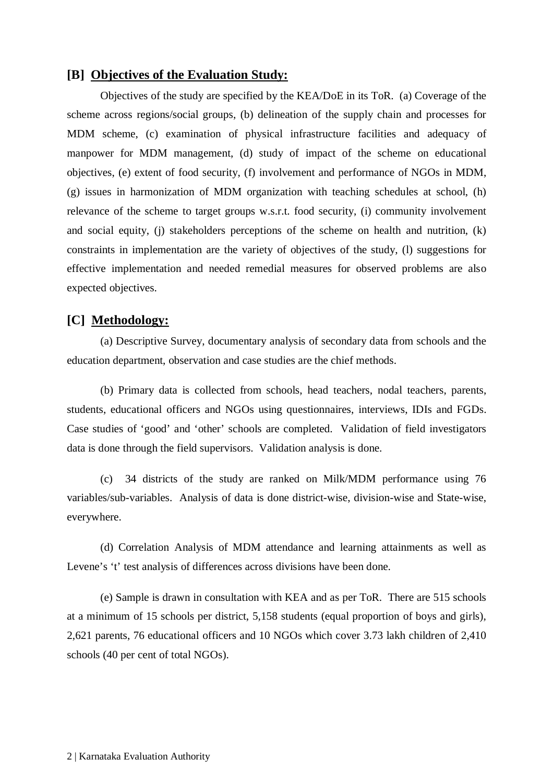#### **[B] Objectives of the Evaluation Study:**

Objectives of the study are specified by the KEA/DoE in its ToR. (a) Coverage of the scheme across regions/social groups, (b) delineation of the supply chain and processes for MDM scheme, (c) examination of physical infrastructure facilities and adequacy of manpower for MDM management, (d) study of impact of the scheme on educational objectives, (e) extent of food security, (f) involvement and performance of NGOs in MDM, (g) issues in harmonization of MDM organization with teaching schedules at school, (h) relevance of the scheme to target groups w.s.r.t. food security, (i) community involvement and social equity, (j) stakeholders perceptions of the scheme on health and nutrition, (k) constraints in implementation are the variety of objectives of the study, (l) suggestions for effective implementation and needed remedial measures for observed problems are also expected objectives.

#### **[C] Methodology:**

(a) Descriptive Survey, documentary analysis of secondary data from schools and the education department, observation and case studies are the chief methods.

(b) Primary data is collected from schools, head teachers, nodal teachers, parents, students, educational officers and NGOs using questionnaires, interviews, IDIs and FGDs. Case studies of 'good' and 'other' schools are completed. Validation of field investigators data is done through the field supervisors. Validation analysis is done.

(c) 34 districts of the study are ranked on Milk/MDM performance using 76 variables/sub-variables. Analysis of data is done district-wise, division-wise and State-wise, everywhere.

(d) Correlation Analysis of MDM attendance and learning attainments as well as Levene's 't' test analysis of differences across divisions have been done.

(e) Sample is drawn in consultation with KEA and as per ToR. There are 515 schools at a minimum of 15 schools per district, 5,158 students (equal proportion of boys and girls), 2,621 parents, 76 educational officers and 10 NGOs which cover 3.73 lakh children of 2,410 schools (40 per cent of total NGOs).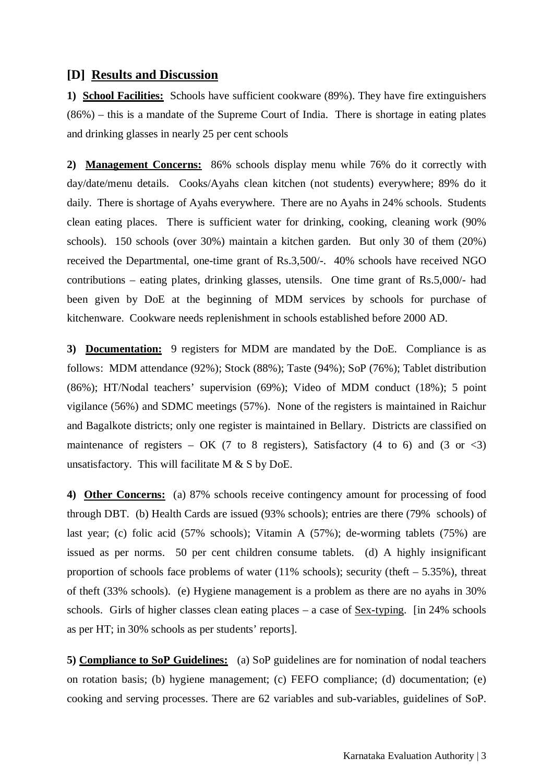#### **[D] Results and Discussion**

**1) School Facilities:** Schools have sufficient cookware (89%). They have fire extinguishers (86%) – this is a mandate of the Supreme Court of India. There is shortage in eating plates and drinking glasses in nearly 25 per cent schools

**2) Management Concerns:** 86% schools display menu while 76% do it correctly with day/date/menu details. Cooks/Ayahs clean kitchen (not students) everywhere; 89% do it daily. There is shortage of Ayahs everywhere. There are no Ayahs in 24% schools. Students clean eating places. There is sufficient water for drinking, cooking, cleaning work (90% schools). 150 schools (over 30%) maintain a kitchen garden. But only 30 of them (20%) received the Departmental, one-time grant of Rs.3,500/-. 40% schools have received NGO contributions – eating plates, drinking glasses, utensils. One time grant of Rs.5,000/- had been given by DoE at the beginning of MDM services by schools for purchase of kitchenware. Cookware needs replenishment in schools established before 2000 AD.

**3) Documentation:** 9 registers for MDM are mandated by the DoE. Compliance is as follows: MDM attendance (92%); Stock (88%); Taste (94%); SoP (76%); Tablet distribution (86%); HT/Nodal teachers' supervision (69%); Video of MDM conduct (18%); 5 point vigilance (56%) and SDMC meetings (57%). None of the registers is maintained in Raichur and Bagalkote districts; only one register is maintained in Bellary. Districts are classified on maintenance of registers – OK (7 to 8 registers), Satisfactory (4 to 6) and (3 or  $\langle 3 \rangle$ unsatisfactory. This will facilitate M & S by DoE.

**4) Other Concerns:** (a) 87% schools receive contingency amount for processing of food through DBT. (b) Health Cards are issued (93% schools); entries are there (79% schools) of last year; (c) folic acid (57% schools); Vitamin A (57%); de-worming tablets (75%) are issued as per norms. 50 per cent children consume tablets. (d) A highly insignificant proportion of schools face problems of water (11% schools); security (theft  $-5.35\%$ ), threat of theft (33% schools). (e) Hygiene management is a problem as there are no ayahs in 30% schools. Girls of higher classes clean eating places – a case of Sex-typing. [in 24% schools as per HT; in 30% schools as per students' reports].

**5) Compliance to SoP Guidelines:** (a) SoP guidelines are for nomination of nodal teachers on rotation basis; (b) hygiene management; (c) FEFO compliance; (d) documentation; (e) cooking and serving processes. There are 62 variables and sub-variables, guidelines of SoP.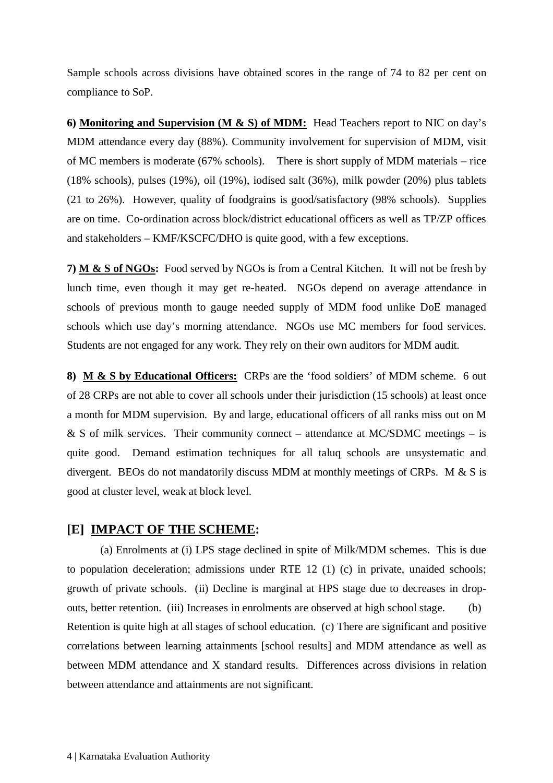Sample schools across divisions have obtained scores in the range of 74 to 82 per cent on compliance to SoP.

**6) Monitoring and Supervision (M & S) of MDM:** Head Teachers report to NIC on day's MDM attendance every day (88%). Community involvement for supervision of MDM, visit of MC members is moderate (67% schools). There is short supply of MDM materials – rice (18% schools), pulses (19%), oil (19%), iodised salt (36%), milk powder (20%) plus tablets (21 to 26%). However, quality of foodgrains is good/satisfactory (98% schools). Supplies are on time. Co-ordination across block/district educational officers as well as TP/ZP offices and stakeholders – KMF/KSCFC/DHO is quite good, with a few exceptions.

**7) M & S of NGOs:** Food served by NGOs is from a Central Kitchen. It will not be fresh by lunch time, even though it may get re-heated. NGOs depend on average attendance in schools of previous month to gauge needed supply of MDM food unlike DoE managed schools which use day's morning attendance. NGOs use MC members for food services. Students are not engaged for any work. They rely on their own auditors for MDM audit.

**8) M & S by Educational Officers:** CRPs are the 'food soldiers' of MDM scheme. 6 out of 28 CRPs are not able to cover all schools under their jurisdiction (15 schools) at least once a month for MDM supervision. By and large, educational officers of all ranks miss out on M  $&$  S of milk services. Their community connect – attendance at MC/SDMC meetings – is quite good. Demand estimation techniques for all taluq schools are unsystematic and divergent. BEOs do not mandatorily discuss MDM at monthly meetings of CRPs. M & S is good at cluster level, weak at block level.

### **[E] IMPACT OF THE SCHEME:**

(a) Enrolments at (i) LPS stage declined in spite of Milk/MDM schemes. This is due to population deceleration; admissions under RTE 12 (1) (c) in private, unaided schools; growth of private schools. (ii) Decline is marginal at HPS stage due to decreases in dropouts, better retention. (iii) Increases in enrolments are observed at high school stage. (b) Retention is quite high at all stages of school education. (c) There are significant and positive correlations between learning attainments [school results] and MDM attendance as well as between MDM attendance and X standard results. Differences across divisions in relation between attendance and attainments are not significant.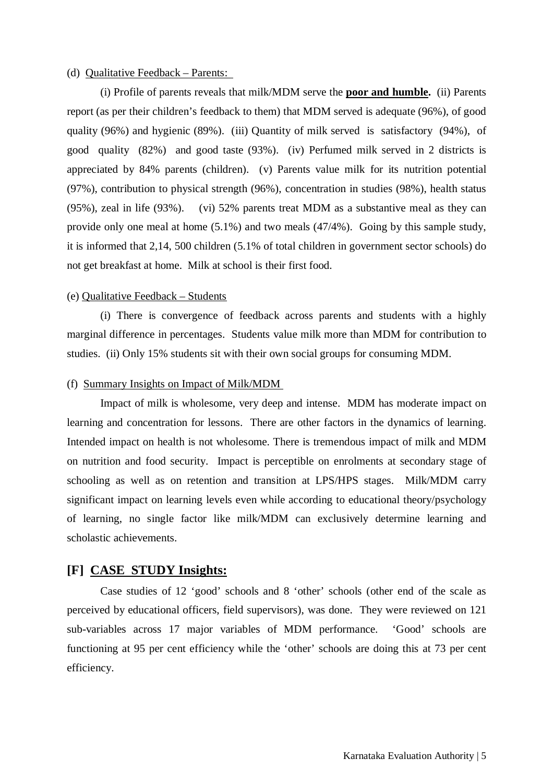#### (d) Qualitative Feedback – Parents:

(i) Profile of parents reveals that milk/MDM serve the **poor and humble.** (ii) Parents report (as per their children's feedback to them) that MDM served is adequate (96%), of good quality (96%) and hygienic (89%). (iii) Quantity of milk served is satisfactory (94%), of good quality (82%) and good taste (93%). (iv) Perfumed milk served in 2 districts is appreciated by 84% parents (children). (v) Parents value milk for its nutrition potential (97%), contribution to physical strength (96%), concentration in studies (98%), health status (95%), zeal in life (93%). (vi) 52% parents treat MDM as a substantive meal as they can provide only one meal at home (5.1%) and two meals (47/4%). Going by this sample study, it is informed that 2,14, 500 children (5.1% of total children in government sector schools) do not get breakfast at home. Milk at school is their first food.

#### (e) Qualitative Feedback – Students

(i) There is convergence of feedback across parents and students with a highly marginal difference in percentages. Students value milk more than MDM for contribution to studies. (ii) Only 15% students sit with their own social groups for consuming MDM.

#### (f) Summary Insights on Impact of Milk/MDM

Impact of milk is wholesome, very deep and intense. MDM has moderate impact on learning and concentration for lessons. There are other factors in the dynamics of learning. Intended impact on health is not wholesome. There is tremendous impact of milk and MDM on nutrition and food security. Impact is perceptible on enrolments at secondary stage of schooling as well as on retention and transition at LPS/HPS stages. Milk/MDM carry significant impact on learning levels even while according to educational theory/psychology of learning, no single factor like milk/MDM can exclusively determine learning and scholastic achievements.

#### **[F] CASE STUDY Insights:**

Case studies of 12 'good' schools and 8 'other' schools (other end of the scale as perceived by educational officers, field supervisors), was done. They were reviewed on 121 sub-variables across 17 major variables of MDM performance. 'Good' schools are functioning at 95 per cent efficiency while the 'other' schools are doing this at 73 per cent efficiency.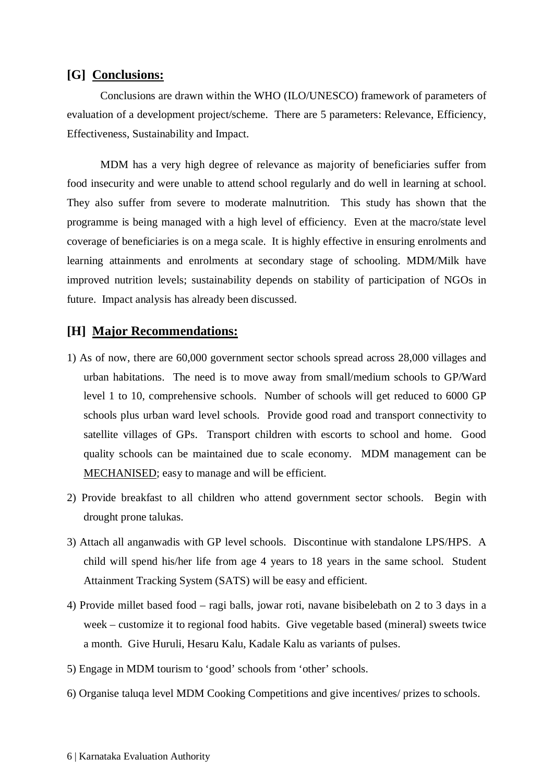#### **[G] Conclusions:**

Conclusions are drawn within the WHO (ILO/UNESCO) framework of parameters of evaluation of a development project/scheme. There are 5 parameters: Relevance, Efficiency, Effectiveness, Sustainability and Impact.

MDM has a very high degree of relevance as majority of beneficiaries suffer from food insecurity and were unable to attend school regularly and do well in learning at school. They also suffer from severe to moderate malnutrition. This study has shown that the programme is being managed with a high level of efficiency. Even at the macro/state level coverage of beneficiaries is on a mega scale. It is highly effective in ensuring enrolments and learning attainments and enrolments at secondary stage of schooling. MDM/Milk have improved nutrition levels; sustainability depends on stability of participation of NGOs in future. Impact analysis has already been discussed.

### **[H] Major Recommendations:**

- 1) As of now, there are 60,000 government sector schools spread across 28,000 villages and urban habitations. The need is to move away from small/medium schools to GP/Ward level 1 to 10, comprehensive schools. Number of schools will get reduced to 6000 GP schools plus urban ward level schools. Provide good road and transport connectivity to satellite villages of GPs. Transport children with escorts to school and home. Good quality schools can be maintained due to scale economy. MDM management can be MECHANISED; easy to manage and will be efficient.
- 2) Provide breakfast to all children who attend government sector schools. Begin with drought prone talukas.
- 3) Attach all anganwadis with GP level schools. Discontinue with standalone LPS/HPS. A child will spend his/her life from age 4 years to 18 years in the same school. Student Attainment Tracking System (SATS) will be easy and efficient.
- 4) Provide millet based food ragi balls, jowar roti, navane bisibelebath on 2 to 3 days in a week – customize it to regional food habits. Give vegetable based (mineral) sweets twice a month. Give Huruli, Hesaru Kalu, Kadale Kalu as variants of pulses.
- 5) Engage in MDM tourism to 'good' schools from 'other' schools.
- 6) Organise taluqa level MDM Cooking Competitions and give incentives/ prizes to schools.